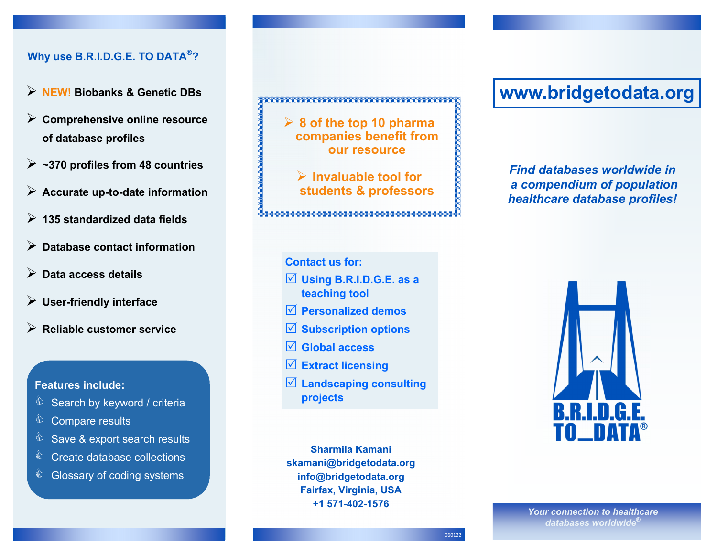## **Why use B.R.I.D.G.E. TO DATA®?**

- **NEW! Biobanks & Genetic DBs**
- **Comprehensive online resource of database profiles**
- **~370 profiles from 48 countries**
- **Accurate up-to-date information**
- **135 standardized data fields**
- **Database contact information**
- **Data access details**
- **User-friendly interface**
- **Reliable customer service**

#### **Features include:**

- Search by keyword / criteria
- $\qquad$  Compare results
- Save & export search results
- ♦ Create database collections
- Slossary of coding systems

**8 of the top 10 pharma companies benefit from our resource** 

**Invaluable tool for students & professors** 

**Contact us for:** 

- **Using B.R.I.D.G.E. as a teaching tool**
- **Personalized demos**
- **Subscription options**
- **Global access**
- **Extract licensing**
- **Landscaping consulting projects**

**Sharmila Kamani skamani@bridgetodata.org info@bridgetodata.org Fairfax, Virginia, USA +1 571-402-1576**

# **www.bridgetodata.org**

*Find databases worldwide in a compendium of population healthcare database profiles!* 



*Your connection to healthcare databases worldwide***®**